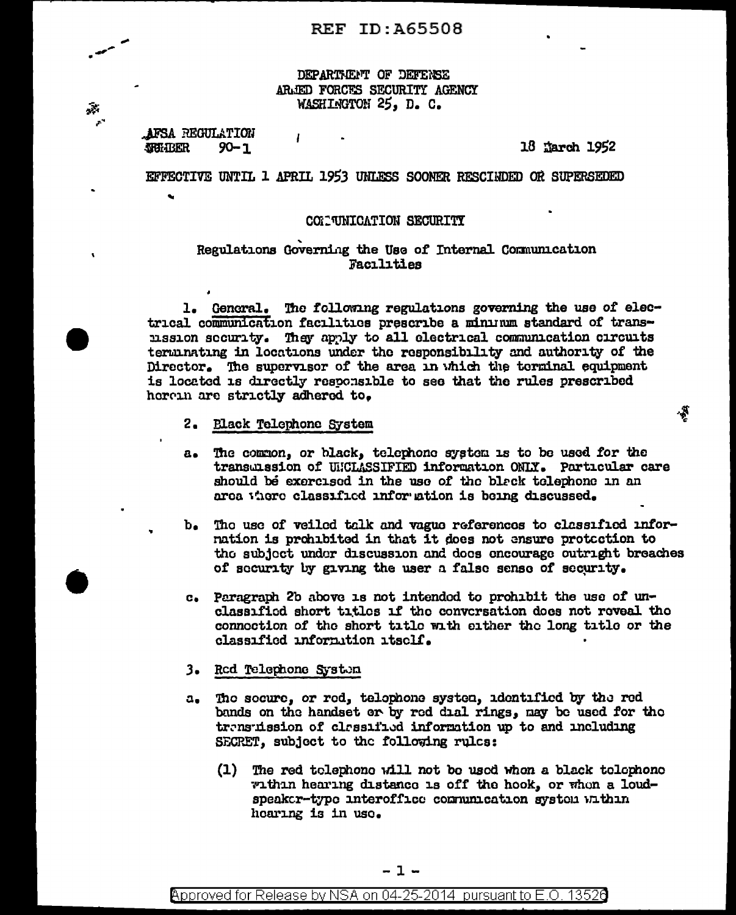## DEPARTMENT OF DEFENSE ARLED FORCES SECURITY AGENCY WASHINGTON 25, D. C.

AFSA REGULATION **NGHIBER**  $90 - 1$ 

 $\bullet$ 

 $\mathcal{F}$ 

 $\mathbf{u}$ 

18 March 1952

EFFECTIVE UNTIL 1 APRIL 1953 UNLESS SOONER RESCINDED OR SUPERSEDED

#### CONCUNICATION SECURITY

### Regulations Governing the Use of Internal Communication Facilities

1. General. The following regulations governing the use of electrical communication facilities prescribe a minium standard of transmasion security. They apply to all electrical communication circuits terminating in locations under the responsibility and authority of the Director. The supervisor of the area in which the terminal equipment is located is directly responsible to see that the rules prescribed herein are strictly adhered to.

Ş.

## 2. Black Telephone System

 $\mathbf{I}$ 

- a. The common, or black, telephone system is to be used for the transulasion of UHCLASSIFIED information OMIX. Particular care should be exercised in the use of the black telephone in an area where classified information is being discussed.
- b. The use of veiled talk and vague references to classified infornation is prohibited in that it does not ensure protection to the subject under discussion and does encourage outright breaches of security by giving the user a false sense of security.
- c. Paragraph 2b above is not intended to prohibit the use of unclassified short titles if the conversation does not reveal the connoction of the short title with either the long title or the classified information itself.

### 3. Red Telephone System

- a. The secure, or red, telephone systen, identified by the red bands on the handset or by red dial rings, may be used for the transmission of classified information up to and including SECRET. subject to the following rules:
	- (1) The red telephone will not be used when a black telephone within hearing distance is off the hook, or when a loudspeaker-type interoffice comunication system within hoaring is in uso.

Approved for Release by NSA on 04-25-2014 pursuant to E.O. 13526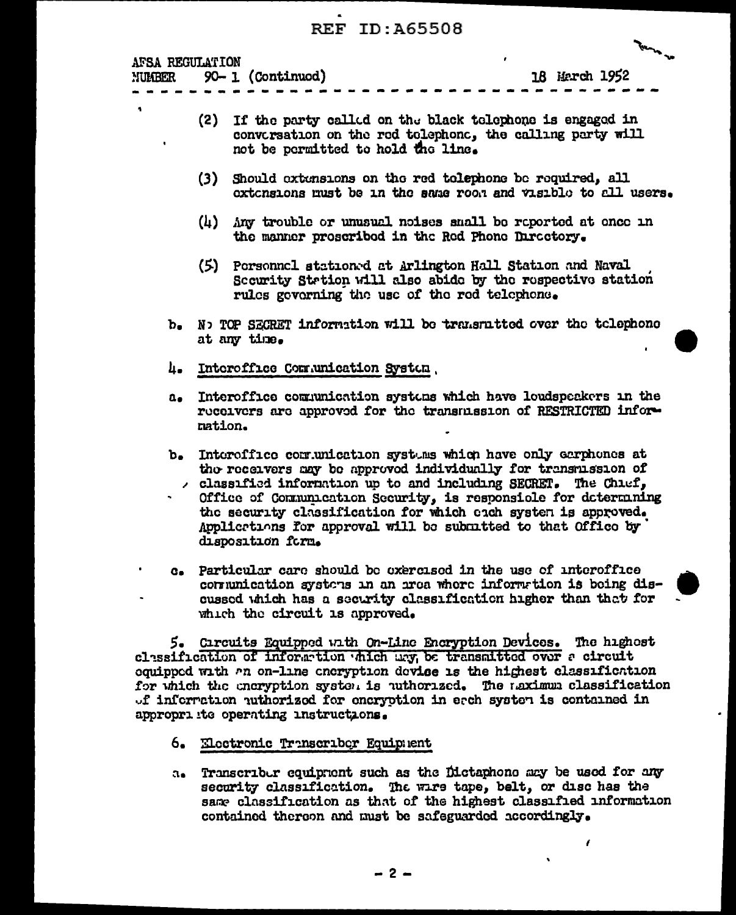# **REF ID: A65508**

| AFSA REGULATION<br>NUMBER 90-1 (Continued) |  |  |  |  |  |  |  |  | 18 Merch 1952 |  |                                                                                                                |  |  |
|--------------------------------------------|--|--|--|--|--|--|--|--|---------------|--|----------------------------------------------------------------------------------------------------------------|--|--|
|                                            |  |  |  |  |  |  |  |  |               |  |                                                                                                                |  |  |
|                                            |  |  |  |  |  |  |  |  |               |  | rang sa may kang sa may sa may sa may sa may sa may sa may sa may sa may sa may sa may sa may sa may sa may sa |  |  |

- (2) If the party called on the black telephone is engaged in conversation on the red telephone, the calling party will not be permitted to hold the line.
- (3) Should extensions on the red tolephone be required, all extensions must be in the same room and visible to all users.
- (h) Any trouble or unusual noises small be reported at once in the manner proscribed in the Red Phone Durectory.
- (5) Porsonnel atationed at Arlington Hall Station and Naval Security Station will also abide by the respective station rules governing the use of the red telephone.
- b. No TOP SECRET information will be transmitted over the telephone at any time.
- 4. Intereffice Communication System.
- a. Interoffice communication systems which have loudspeakers in the reconvers are approved for the transmission of RESTRICTED information.
- b. Interoffice communication systems which have only carphones at the receivers may be approved individually for transmission of classified information up to and including SECRET. The Chief,
- Office of Communication Security, is responsiole for determing the security classification for which each system is approved. Applications for approval will be submitted to that Office by disposition form.
- c. Particular care should be exercised in the use of interoffice communication systems in an iron where information is being discussed which has a security classification higher than that for which the circuit is approved.

5. Circuits Equipped with On-Line Encryption Devices. The highest classification of information which may be transmitted over a circuit equipped with an on-line encryption device is the highest classification for which the eneryption system is unthorized. The maximum classification of information nuthorized for encryption in erch system is contained in appropriete operating instructions.

- 6. Electronic Transcriber Equipment
- a. Transcriber equipment such as the Dictaphone may be used for any security classification. The wire tape, belt, or disc has the same classification as that of the highest classified information contained thereon and must be safeguarded accordingly.